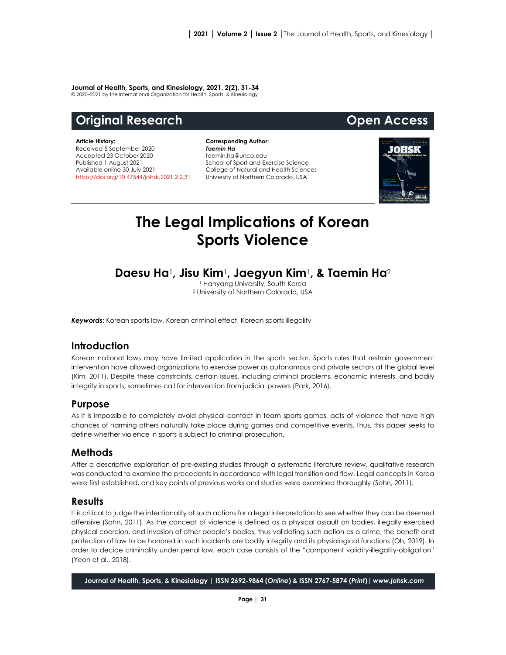#### **Journal of Health, Sports, and Kinesiology, 2021, 2(2), 31-34**

© 2020–2021 by the International Organization for Health, Sports, & Kinesiology

# **Original Research Community Community Community Community Open Access**

#### **Article History:**

Received 5 September 2020 Accepted 23 October 2020 Published 1 August 2021 Available online 30 July 2021 [https://doi.org/10.47544/johsk.2021.2.2.3](https://doi.org/10.47544/johsk.2021.2.2.)1

**Corresponding Author:** *Taemin Ha* taemin.ha@unco.edu School of Sport and Exercise Science College of Natural and Health Sciences University of Northern Colorado, USA



# **The Legal Implications of Korean Sports Violence**

# **Daesu Ha**1**, Jisu Kim**1**, Jaegyun Kim**1**, & Taemin Ha**<sup>2</sup>

<sup>1</sup> Hanyang University, South Korea <sup>2</sup> University of Northern Colorado, USA

*Keywords*: Korean sports law, Korean criminal effect, Korean sports illegality

# **Introduction**

Korean national laws may have limited application in the sports sector. Sports rules that restrain government intervention have allowed organizations to exercise power as autonomous and private sectors at the global level (Kim, 2011). Despite these constraints, certain issues, including criminal problems, economic interests, and bodily integrity in sports, sometimes call for intervention from judicial powers (Park, 2016).

## **Purpose**

As it is impossible to completely avoid physical contact in team sports games, acts of violence that have high chances of harming others naturally take place during games and competitive events. Thus, this paper seeks to define whether violence in sports is subject to criminal prosecution.

## **Methods**

After a descriptive exploration of pre-existing studies through a systematic literature review, qualitative research was conducted to examine the precedents in accordance with legal transition and flow. Legal concepts in Korea were first established, and key points of previous works and studies were examined thoroughly (Sohn, 2011).

#### **Results**

It is critical to judge the intentionality of such actions for a legal interpretation to see whether they can be deemed offensive (Sohn, 2011). As the concept of violence is defined as a physical assault on bodies, illegally exercised physical coercion, and invasion of other people's bodies, thus validating such action as a crime, the benefit and protection of law to be honored in such incidents are bodily integrity and its physiological functions (Oh, 2019). In order to decide criminality under penal law, each case consists of the "component validity-illegality-obligation" (Yeon et al., 2018).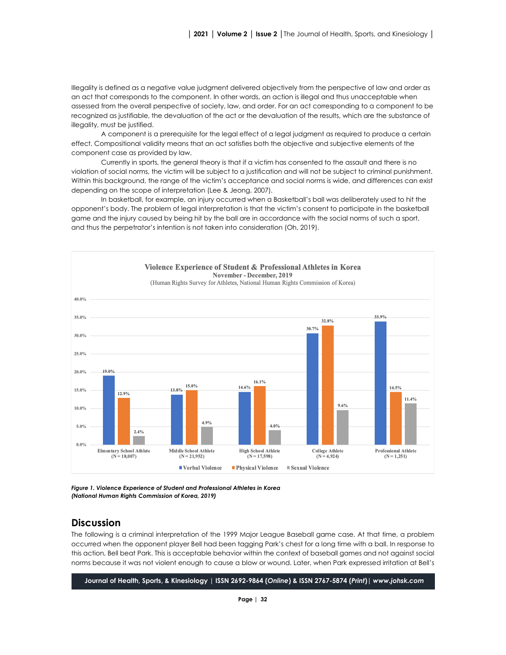Illegality is defined as a negative value judgment delivered objectively from the perspective of law and order as an act that corresponds to the component. In other words, an action is illegal and thus unacceptable when assessed from the overall perspective of society, law, and order. For an act corresponding to a component to be recognized as justifiable, the devaluation of the act or the devaluation of the results, which are the substance of illegality, must be justified.

A component is a prerequisite for the legal effect of a legal judgment as required to produce a certain effect. Compositional validity means that an act satisfies both the objective and subjective elements of the component case as provided by law.

Currently in sports, the general theory is that if a victim has consented to the assault and there is no violation of social norms, the victim will be subject to a justification and will not be subject to criminal punishment. Within this background, the range of the victim's acceptance and social norms is wide, and differences can exist depending on the scope of interpretation (Lee & Jeong, 2007).

In basketball, for example, an injury occurred when a Basketball's ball was deliberately used to hit the opponent's body. The problem of legal interpretation is that the victim's consent to participate in the basketball game and the injury caused by being hit by the ball are in accordance with the social norms of such a sport, and thus the perpetrator's intention is not taken into consideration (Oh, 2019).



*Figure 1. Violence Experience of Student and Professional Athletes in Korea (National Human Rights Commission of Korea, 2019)*

## **Discussion**

The following is a criminal interpretation of the 1999 Major League Baseball game case. At that time, a problem occurred when the opponent player Bell had been tagging Park's chest for a long time with a ball. In response to this action, Bell beat Park. This is acceptable behavior within the context of baseball games and not against social norms because it was not violent enough to cause a blow or wound. Later, when Park expressed irritation at Bell's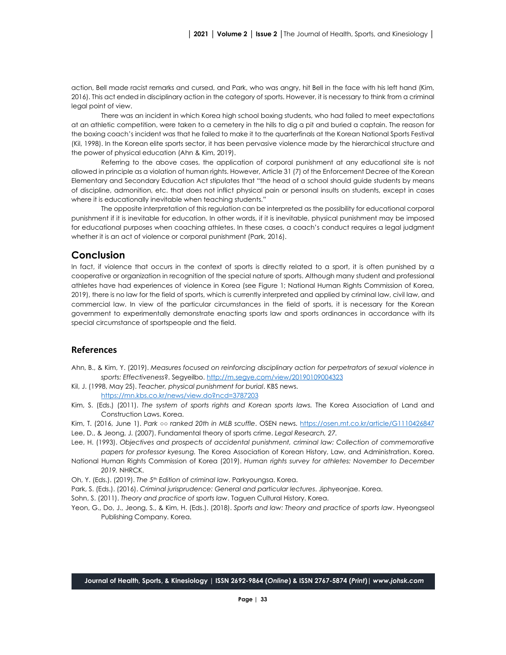action, Bell made racist remarks and cursed, and Park, who was angry, hit Bell in the face with his left hand (Kim, 2016). This act ended in disciplinary action in the category of sports. However, it is necessary to think from a criminal legal point of view.

There was an incident in which Korea high school boxing students, who had failed to meet expectations at an athletic competition, were taken to a cemetery in the hills to dig a pit and buried a captain. The reason for the boxing coach's incident was that he failed to make it to the quarterfinals at the Korean National Sports Festival (Kil, 1998). In the Korean elite sports sector, it has been pervasive violence made by the hierarchical structure and the power of physical education (Ahn & Kim, 2019).

Referring to the above cases, the application of corporal punishment at any educational site is not allowed in principle as a violation of human rights. However, Article 31 (7) of the Enforcement Decree of the Korean Elementary and Secondary Education Act stipulates that "the head of a school should guide students by means of discipline, admonition, etc. that does not inflict physical pain or personal insults on students, except in cases where it is educationally inevitable when teaching students."

The opposite interpretation of this regulation can be interpreted as the possibility for educational corporal punishment if it is inevitable for education. In other words, if it is inevitable, physical punishment may be imposed for educational purposes when coaching athletes. In these cases, a coach's conduct requires a legal judgment whether it is an act of violence or corporal punishment (Park, 2016).

#### **Conclusion**

In fact, if violence that occurs in the context of sports is directly related to a sport, it is often punished by a cooperative or organization in recognition of the special nature of sports. Although many student and professional athletes have had experiences of violence in Korea (see Figure 1; National Human Rights Commission of Korea, 2019), there is no law for the field of sports, which is currently interpreted and applied by criminal law, civil law, and commercial law. In view of the particular circumstances in the field of sports, it is necessary for the Korean government to experimentally demonstrate enacting sports law and sports ordinances in accordance with its special circumstance of sportspeople and the field.

#### **References**

- Ahn, B., & Kim, Y. (2019). *Measures focused on reinforcing disciplinary action for perpetrators of sexual violence in sports: Effectiveness*?. Segyeilbo. <http://m.segye.com/view/20190109004323>
- Kil, J. (1998, May 25). *Teacher, physical punishment for burial*. KBS news. <https://mn.kbs.co.kr/news/view.do?ncd=3787203>
- Kim, S. (Eds.) (2011). *The system of sports rights and Korean sports laws.* The Korea Association of Land and Construction Laws. Korea.
- Kim, T. (2016, June 1). *Park ○○ ranked 20th in MLB scuffle*. OSEN news.<https://osen.mt.co.kr/article/G1110426847>
- Lee, D., & Jeong, J. (2007). Fundamental theory of sports crime. *Legal Research, 27.*
- Lee, H. (1993). *Objectives and prospects of accidental punishment, criminal law: Collection of commemorative papers for professor kyesung.* The Korea Association of Korean History, Law, and Administration. Korea.
- National Human Rights Commission of Korea (2019). *Human rights survey for athletes: November to December 2019.* NHRCK.
- Oh, Y. (Eds.). (2019). *The 5th Edition of criminal law*. Parkyoungsa. Korea.
- Park, S. (Eds.). (2016). *Criminal jurisprudence: General and particular lectures*. Jiphyeonjae. Korea.

Sohn, S. (2011). *Theory and practice of sports law*. Taguen Cultural History. Korea.

Yeon, G., Do, J., Jeong, S., & Kim, H. (Eds.). (2018). *Sports and law: Theory and practice of sports law*. Hyeongseol Publishing Company. Korea.